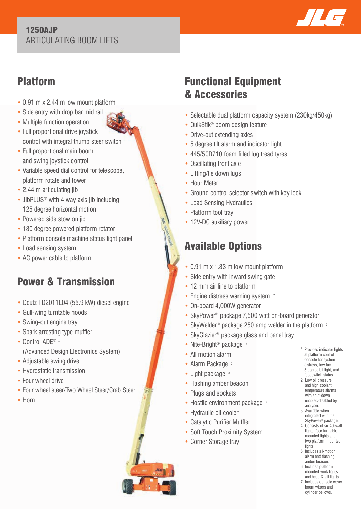#### 1250AJP ARTICULATING BOOM LIFTS



## Platform

- 0.91 m x 2.44 m low mount platform
- Side entry with drop bar mid rail
- Multiple function operation
- Full proportional drive joystick control with integral thumb steer switch
- Full proportional main boom and swing joystick control
- Variable speed dial control for telescope, platform rotate and tower
- 2.44 m articulating jib
- JibPLUS<sup>®</sup> with 4 way axis jib including 125 degree horizontal motion
- Powered side stow on jib
- 180 degree powered platform rotator
- Platform console machine status light panel 1
- Load sensing system
- AC power cable to platform

# Power & Transmission

- Deutz TD2011L04 (55.9 kW) diesel engine
- Gull-wing turntable hoods
- Swing-out engine trav
- Spark arresting type muffler
- Control ADE® (Advanced Design Electronics System)
- Adjustable swing drive
- Hydrostatic transmission
- Four wheel drive
- Four wheel steer/Two Wheel Steer/Crab Steer
- Horn

## Functional Equipment & Accessories

- Selectable dual platform capacity system (230kg/450kg)
- QuikStik® boom design feature
- Drive-out extending axles
- 5 degree tilt alarm and indicator light
- 445/50D710 foam filled lug tread tyres
- Oscillating front axle
- Lifting/tie down lugs
- Hour Meter
- Ground control selector switch with key lock
- Load Sensing Hydraulics
- Platform tool tray
- 12V-DC auxiliary power

# Available Options

- 0.91 m x 1.83 m low mount platform
- Side entry with inward swing gate
- 12 mm air line to platform
- Engine distress warning system <sup>2</sup>
- On-board 4,000W generator
- SkyPower® package 7,500 watt on-board generator
- SkyWelder<sup>®</sup> package 250 amp welder in the platform <sup>3</sup>
- SkyGlazier<sup>®</sup> package glass and panel tray
- Nite-Bright<sup>®</sup> package <sup>4</sup>
- All motion alarm
- Alarm Package 5
- $\bullet$  Light package  $6$
- Flashing amber beacon
- Plugs and sockets
- Hostile environment package 7
- Hydraulic oil cooler
- Catalytic Purifier Muffler
- Soft Touch Proximity System
- Corner Storage tray
- <sup>1</sup> Provides indicator lights at platform control console for system distress, low fuel, 5 degree tilt light, and foot switch status.
- 2 Low oil pressure and high coolant temperature alarms with shut-down enabled/disabled by analyser.
- 3 Available when integrated with the SkyPower® package.
- 4 Consists of six 40-watt lights, four turntable mounted lights and two platform mounted lights
- 5 Includes all-motion alarm and flashing amber beacon.
- 6 Includes platform mounted work lights and head & tail lights.
- 7 Includes console cover, boom wipers and cylinder bellows.